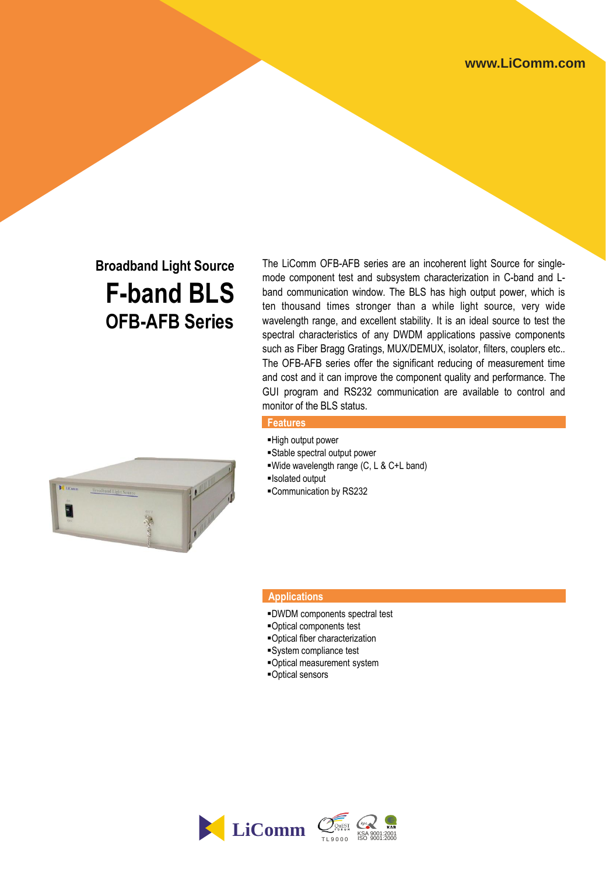# **Broadband Light Source F-band BLS OFB-AFB Series**

The LiComm OFB-AFB series are an incoherent light Source for singlemode component test and subsystem characterization in C-band and Lband communication window. The BLS has high output power, which is ten thousand times stronger than a while light source, very wide wavelength range, and excellent stability. It is an ideal source to test the spectral characteristics of any DWDM applications passive components such as Fiber Bragg Gratings, MUX/DEMUX, isolator, filters, couplers etc.. The OFB-AFB series offer the significant reducing of measurement time and cost and it can improve the component quality and performance. The GUI program and RS232 communication are available to control and monitor of the BLS status.

#### **Features**

- High output power
- Stable spectral output power
- Wide wavelength range (C, L & C+L band)
- Isolated output
- Communication by RS232

### **Applications**

- DWDM components spectral test
- Optical components test
- Optical fiber characterization
- System compliance test
- Optical measurement system
- Optical sensors